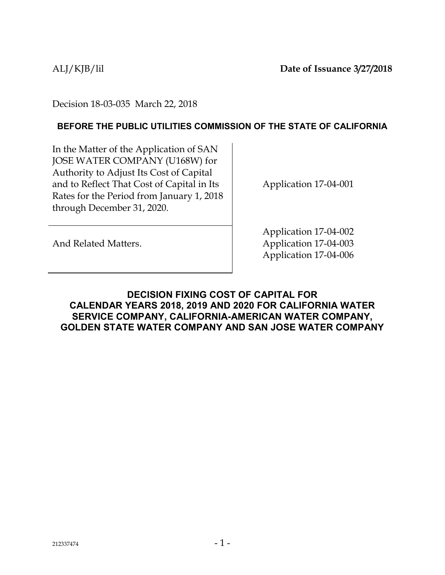Decision 18-03-035 March 22, 2018

### **BEFORE THE PUBLIC UTILITIES COMMISSION OF THE STATE OF CALIFORNIA**

In the Matter of the Application of SAN JOSE WATER COMPANY (U168W) for Authority to Adjust Its Cost of Capital and to Reflect That Cost of Capital in Its Rates for the Period from January 1, 2018 through December 31, 2020.

Application 17-04-001

And Related Matters.

Application 17-04-002 Application 17-04-003 Application 17-04-006

### <span id="page-0-0"></span>**DECISION FIXING COST OF CAPITAL FOR CALENDAR YEARS 2018, 2019 AND 2020 FOR CALIFORNIA WATER SERVICE COMPANY, CALIFORNIA-AMERICAN WATER COMPANY, GOLDEN STATE WATER COMPANY AND SAN JOSE WATER COMPANY**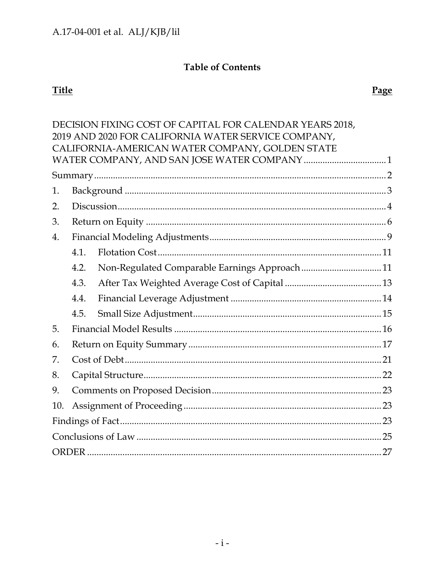# **Table of Contents**

# **Title**

|     |      | DECISION FIXING COST OF CAPITAL FOR CALENDAR YEARS 2018, |  |
|-----|------|----------------------------------------------------------|--|
|     |      | 2019 AND 2020 FOR CALIFORNIA WATER SERVICE COMPANY,      |  |
|     |      | CALIFORNIA-AMERICAN WATER COMPANY, GOLDEN STATE          |  |
|     |      |                                                          |  |
|     |      |                                                          |  |
| 1.  |      |                                                          |  |
| 2.  |      |                                                          |  |
| 3.  |      |                                                          |  |
| 4.  |      |                                                          |  |
|     | 4.1. |                                                          |  |
|     | 4.2. | Non-Regulated Comparable Earnings Approach 11            |  |
|     | 4.3. |                                                          |  |
|     | 4.4. |                                                          |  |
|     | 4.5. |                                                          |  |
| 5.  |      |                                                          |  |
| 6.  |      |                                                          |  |
| 7.  |      |                                                          |  |
| 8.  |      |                                                          |  |
| 9.  |      |                                                          |  |
| 10. |      |                                                          |  |
|     |      |                                                          |  |
|     |      |                                                          |  |
|     |      |                                                          |  |
|     |      |                                                          |  |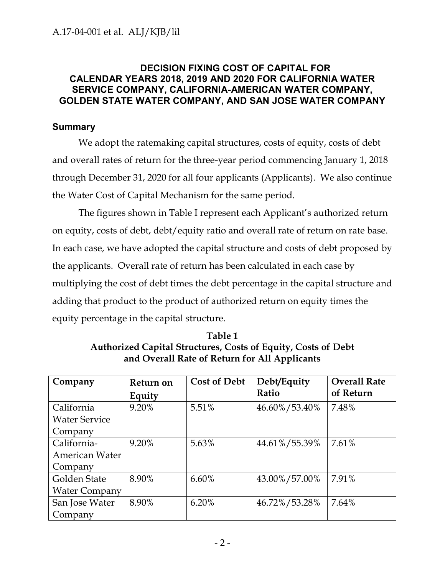### **DECISION FIXING COST OF CAPITAL FOR CALENDAR YEARS 2018, 2019 AND 2020 FOR CALIFORNIA WATER SERVICE COMPANY, CALIFORNIA-AMERICAN WATER COMPANY, GOLDEN STATE WATER COMPANY, AND SAN JOSE WATER COMPANY**

### <span id="page-2-0"></span>**Summary**

We adopt the ratemaking capital structures, costs of equity, costs of debt and overall rates of return for the three-year period commencing January 1, 2018 through December 31, 2020 for all four applicants (Applicants). We also continue the Water Cost of Capital Mechanism for the same period.

The figures shown in Table I represent each Applicant's authorized return on equity, costs of debt, debt/equity ratio and overall rate of return on rate base. In each case, we have adopted the capital structure and costs of debt proposed by the applicants. Overall rate of return has been calculated in each case by multiplying the cost of debt times the debt percentage in the capital structure and adding that product to the product of authorized return on equity times the equity percentage in the capital structure.

**Table 1 Authorized Capital Structures, Costs of Equity, Costs of Debt and Overall Rate of Return for All Applicants**

| Company               | Return on | <b>Cost of Debt</b> | Debt/Equity   | <b>Overall Rate</b> |
|-----------------------|-----------|---------------------|---------------|---------------------|
|                       | Equity    |                     | Ratio         | of Return           |
| California            | 9.20%     | 5.51%               | 46.60%/53.40% | 7.48%               |
| <b>Water Service</b>  |           |                     |               |                     |
| Company               |           |                     |               |                     |
| California-           | 9.20%     | 5.63%               | 44.61%/55.39% | 7.61%               |
| <b>American Water</b> |           |                     |               |                     |
| Company               |           |                     |               |                     |
| Golden State          | 8.90%     | 6.60%               | 43.00%/57.00% | 7.91%               |
| <b>Water Company</b>  |           |                     |               |                     |
| San Jose Water        | 8.90%     | 6.20%               | 46.72%/53.28% | 7.64%               |
| Company               |           |                     |               |                     |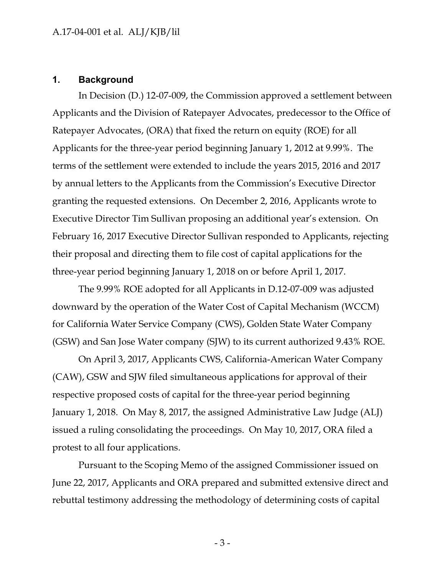#### <span id="page-3-0"></span>**1. Background**

In Decision (D.) 12-07-009, the Commission approved a settlement between Applicants and the Division of Ratepayer Advocates, predecessor to the Office of Ratepayer Advocates, (ORA) that fixed the return on equity (ROE) for all Applicants for the three-year period beginning January 1, 2012 at 9.99%. The terms of the settlement were extended to include the years 2015, 2016 and 2017 by annual letters to the Applicants from the Commission's Executive Director granting the requested extensions. On December 2, 2016, Applicants wrote to Executive Director Tim Sullivan proposing an additional year's extension. On February 16, 2017 Executive Director Sullivan responded to Applicants, rejecting their proposal and directing them to file cost of capital applications for the three-year period beginning January 1, 2018 on or before April 1, 2017.

The 9.99% ROE adopted for all Applicants in D.12-07-009 was adjusted downward by the operation of the Water Cost of Capital Mechanism (WCCM) for California Water Service Company (CWS), Golden State Water Company (GSW) and San Jose Water company (SJW) to its current authorized 9.43% ROE.

On April 3, 2017, Applicants CWS, California-American Water Company (CAW), GSW and SJW filed simultaneous applications for approval of their respective proposed costs of capital for the three-year period beginning January 1, 2018. On May 8, 2017, the assigned Administrative Law Judge (ALJ) issued a ruling consolidating the proceedings. On May 10, 2017, ORA filed a protest to all four applications.

Pursuant to the Scoping Memo of the assigned Commissioner issued on June 22, 2017, Applicants and ORA prepared and submitted extensive direct and rebuttal testimony addressing the methodology of determining costs of capital

- 3 -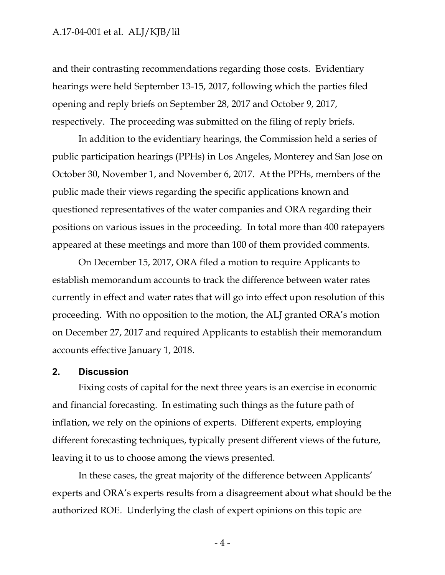and their contrasting recommendations regarding those costs. Evidentiary hearings were held September 13-15, 2017, following which the parties filed opening and reply briefs on September 28, 2017 and October 9, 2017, respectively. The proceeding was submitted on the filing of reply briefs.

In addition to the evidentiary hearings, the Commission held a series of public participation hearings (PPHs) in Los Angeles, Monterey and San Jose on October 30, November 1, and November 6, 2017. At the PPHs, members of the public made their views regarding the specific applications known and questioned representatives of the water companies and ORA regarding their positions on various issues in the proceeding. In total more than 400 ratepayers appeared at these meetings and more than 100 of them provided comments.

On December 15, 2017, ORA filed a motion to require Applicants to establish memorandum accounts to track the difference between water rates currently in effect and water rates that will go into effect upon resolution of this proceeding. With no opposition to the motion, the ALJ granted ORA's motion on December 27, 2017 and required Applicants to establish their memorandum accounts effective January 1, 2018.

### <span id="page-4-0"></span>**2. Discussion**

Fixing costs of capital for the next three years is an exercise in economic and financial forecasting. In estimating such things as the future path of inflation, we rely on the opinions of experts. Different experts, employing different forecasting techniques, typically present different views of the future, leaving it to us to choose among the views presented.

In these cases, the great majority of the difference between Applicants' experts and ORA's experts results from a disagreement about what should be the authorized ROE. Underlying the clash of expert opinions on this topic are

- 4 -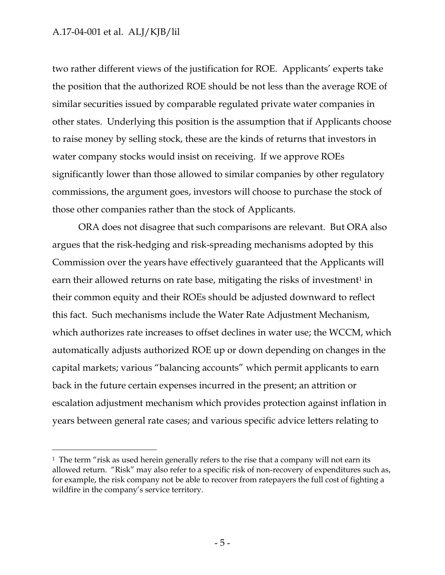$\overline{a}$ 

two rather different views of the justification for ROE. Applicants' experts take the position that the authorized ROE should be not less than the average ROE of similar securities issued by comparable regulated private water companies in other states. Underlying this position is the assumption that if Applicants choose to raise money by selling stock, these are the kinds of returns that investors in water company stocks would insist on receiving. If we approve ROEs significantly lower than those allowed to similar companies by other regulatory commissions, the argument goes, investors will choose to purchase the stock of those other companies rather than the stock of Applicants.

ORA does not disagree that such comparisons are relevant. But ORA also argues that the risk-hedging and risk-spreading mechanisms adopted by this Commission over the years have effectively guaranteed that the Applicants will earn their allowed returns on rate base, mitigating the risks of investment<sup>1</sup> in their common equity and their ROEs should be adjusted downward to reflect this fact. Such mechanisms include the Water Rate Adjustment Mechanism, which authorizes rate increases to offset declines in water use; the WCCM, which automatically adjusts authorized ROE up or down depending on changes in the capital markets; various "balancing accounts" which permit applicants to earn back in the future certain expenses incurred in the present; an attrition or escalation adjustment mechanism which provides protection against inflation in years between general rate cases; and various specific advice letters relating to

<sup>&</sup>lt;sup>1</sup> The term "risk as used herein generally refers to the rise that a company will not earn its allowed return. "Risk" may also refer to a specific risk of non-recovery of expenditures such as, for example, the risk company not be able to recover from ratepayers the full cost of fighting a wildfire in the company's service territory.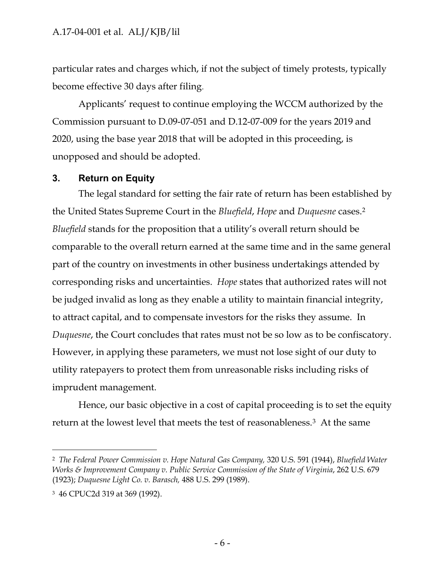particular rates and charges which, if not the subject of timely protests, typically become effective 30 days after filing.

Applicants' request to continue employing the WCCM authorized by the Commission pursuant to D.09-07-051 and D.12-07-009 for the years 2019 and 2020, using the base year 2018 that will be adopted in this proceeding, is unopposed and should be adopted.

### <span id="page-6-0"></span>**3. Return on Equity**

The legal standard for setting the fair rate of return has been established by the United States Supreme Court in the *Bluefield*, *Hope* and *Duquesne* cases.<sup>2</sup> *Bluefield* stands for the proposition that a utility's overall return should be comparable to the overall return earned at the same time and in the same general part of the country on investments in other business undertakings attended by corresponding risks and uncertainties. *Hope* states that authorized rates will not be judged invalid as long as they enable a utility to maintain financial integrity, to attract capital, and to compensate investors for the risks they assume. In *Duquesne*, the Court concludes that rates must not be so low as to be confiscatory. However, in applying these parameters, we must not lose sight of our duty to utility ratepayers to protect them from unreasonable risks including risks of imprudent management.

Hence, our basic objective in a cost of capital proceeding is to set the equity return at the lowest level that meets the test of reasonableness.3 At the same

<sup>2</sup> *The Federal Power Commission v. Hope Natural Gas Company,* 320 U.S. 591 (1944), *Bluefield Water Works & Improvement Company v. Public Service Commission of the State of Virginia*, 262 U.S. 679 (1923); *Duquesne Light Co. v. Barasch,* 488 U.S. 299 (1989).

<sup>3</sup> 46 CPUC2d 319 at 369 (1992).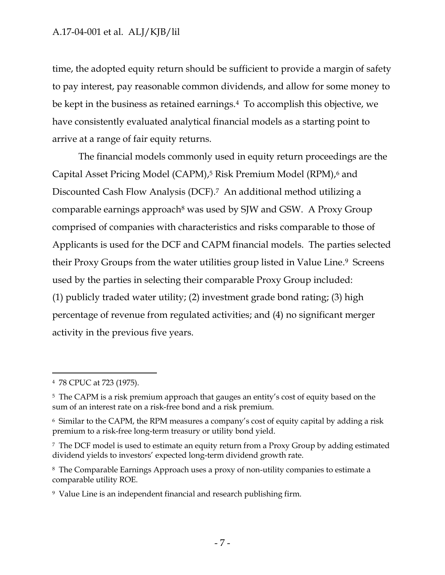time, the adopted equity return should be sufficient to provide a margin of safety to pay interest, pay reasonable common dividends, and allow for some money to be kept in the business as retained earnings.4 To accomplish this objective, we have consistently evaluated analytical financial models as a starting point to arrive at a range of fair equity returns.

The financial models commonly used in equity return proceedings are the Capital Asset Pricing Model (CAPM), <sup>5</sup> Risk Premium Model (RPM), <sup>6</sup> and Discounted Cash Flow Analysis (DCF). <sup>7</sup> An additional method utilizing a comparable earnings approach<sup>8</sup> was used by SJW and GSW. A Proxy Group comprised of companies with characteristics and risks comparable to those of Applicants is used for the DCF and CAPM financial models. The parties selected their Proxy Groups from the water utilities group listed in Value Line. <sup>9</sup> Screens used by the parties in selecting their comparable Proxy Group included: (1) publicly traded water utility; (2) investment grade bond rating; (3) high percentage of revenue from regulated activities; and (4) no significant merger activity in the previous five years.

<sup>4</sup> 78 CPUC at 723 (1975).

<sup>&</sup>lt;sup>5</sup> The CAPM is a risk premium approach that gauges an entity's cost of equity based on the sum of an interest rate on a risk-free bond and a risk premium.

<sup>6</sup> Similar to the CAPM, the RPM measures a company's cost of equity capital by adding a risk premium to a risk-free long-term treasury or utility bond yield.

<sup>7</sup> The DCF model is used to estimate an equity return from a Proxy Group by adding estimated dividend yields to investors' expected long-term dividend growth rate.

<sup>8</sup> The Comparable Earnings Approach uses a proxy of non-utility companies to estimate a comparable utility ROE.

<sup>9</sup> Value Line is an independent financial and research publishing firm.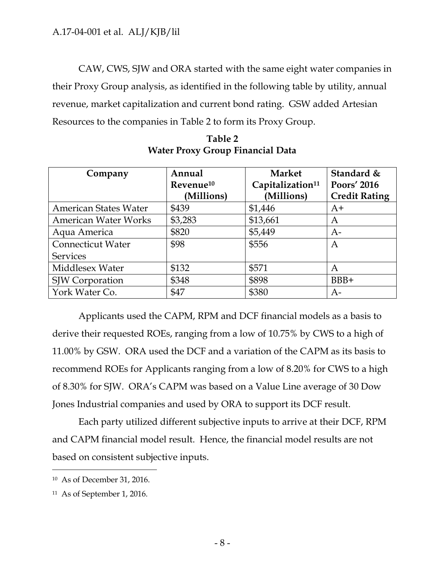CAW, CWS, SJW and ORA started with the same eight water companies in their Proxy Group analysis, as identified in the following table by utility, annual revenue, market capitalization and current bond rating. GSW added Artesian Resources to the companies in Table 2 to form its Proxy Group.

| Company                      | Annual                | <b>Market</b>                | Standard &           |
|------------------------------|-----------------------|------------------------------|----------------------|
|                              | Revenue <sup>10</sup> | Capitalization <sup>11</sup> | Poors' 2016          |
|                              | (Millions)            | (Millions)                   | <b>Credit Rating</b> |
| <b>American States Water</b> | \$439                 | \$1,446                      | $A+$                 |
| <b>American Water Works</b>  | \$3,283               | \$13,661                     | А                    |
| Aqua America                 | \$820                 | \$5,449                      | $A-$                 |
| <b>Connecticut Water</b>     | \$98                  | \$556                        | А                    |
| <b>Services</b>              |                       |                              |                      |
| Middlesex Water              | \$132                 | \$571                        | Α                    |
| SJW Corporation              | \$348                 | \$898                        | $BBB+$               |
| York Water Co.               | \$47                  | \$380                        | A-                   |

**Table 2 Water Proxy Group Financial Data**

Applicants used the CAPM, RPM and DCF financial models as a basis to derive their requested ROEs, ranging from a low of 10.75% by CWS to a high of 11.00% by GSW. ORA used the DCF and a variation of the CAPM as its basis to recommend ROEs for Applicants ranging from a low of 8.20% for CWS to a high of 8.30% for SJW. ORA's CAPM was based on a Value Line average of 30 Dow Jones Industrial companies and used by ORA to support its DCF result.

Each party utilized different subjective inputs to arrive at their DCF, RPM and CAPM financial model result. Hence, the financial model results are not based on consistent subjective inputs.

<sup>10</sup> As of December 31, 2016.

<sup>11</sup> As of September 1, 2016.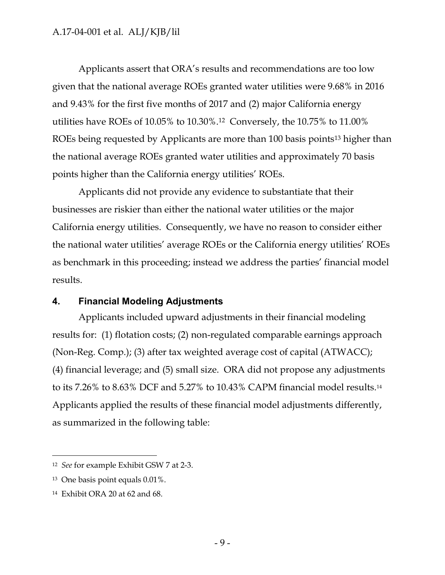Applicants assert that ORA's results and recommendations are too low given that the national average ROEs granted water utilities were 9.68% in 2016 and 9.43% for the first five months of 2017 and (2) major California energy utilities have ROEs of 10.05% to 10.30%.<sup>12</sup> Conversely, the 10.75% to 11.00% ROEs being requested by Applicants are more than 100 basis points<sup>13</sup> higher than the national average ROEs granted water utilities and approximately 70 basis points higher than the California energy utilities' ROEs.

Applicants did not provide any evidence to substantiate that their businesses are riskier than either the national water utilities or the major California energy utilities. Consequently, we have no reason to consider either the national water utilities' average ROEs or the California energy utilities' ROEs as benchmark in this proceeding; instead we address the parties' financial model results.

### <span id="page-9-0"></span>**4. Financial Modeling Adjustments**

Applicants included upward adjustments in their financial modeling results for: (1) flotation costs; (2) non-regulated comparable earnings approach (Non-Reg. Comp.); (3) after tax weighted average cost of capital (ATWACC); (4) financial leverage; and (5) small size. ORA did not propose any adjustments to its 7.26% to 8.63% DCF and 5.27% to 10.43% CAPM financial model results.<sup>14</sup> Applicants applied the results of these financial model adjustments differently, as summarized in the following table:

<sup>12</sup> *See* for example Exhibit GSW 7 at 2-3.

<sup>13</sup> One basis point equals 0.01%.

<sup>14</sup> Exhibit ORA 20 at 62 and 68.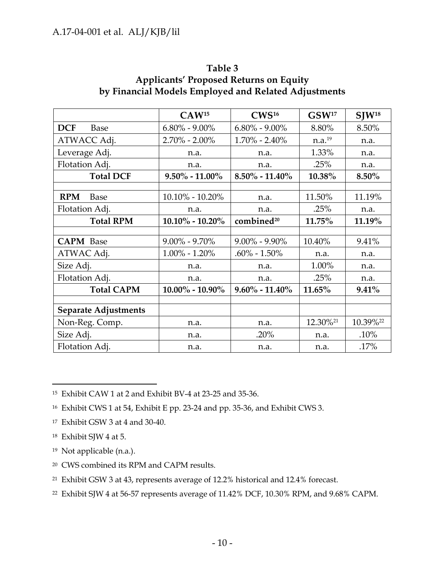|                             | CAW <sup>15</sup>   | CWS <sup>16</sup>      | GSW <sup>17</sup>    | $SIW^{18}$ |
|-----------------------------|---------------------|------------------------|----------------------|------------|
| <b>DCF</b><br><b>Base</b>   | $6.80\% - 9.00\%$   | $6.80\% - 9.00\%$      | 8.80%                | 8.50%      |
| ATWACC Adj.                 | $2.70\% - 2.00\%$   | $1.70\% - 2.40\%$      | n.a. <sup>19</sup>   | n.a.       |
| Leverage Adj.               | n.a.                | n.a.                   | 1.33%                | n.a.       |
| Flotation Adj.              | n.a.                | n.a.                   | .25%                 | n.a.       |
| <b>Total DCF</b>            | $9.50\% - 11.00\%$  | $8.50\% - 11.40\%$     | 10.38%               | 8.50%      |
|                             |                     |                        |                      |            |
| <b>RPM</b><br>Base          | $10.10\% - 10.20\%$ | n.a.                   | 11.50%               | 11.19%     |
| Flotation Adj.              | n.a.                | n.a.                   | .25%                 | n.a.       |
| <b>Total RPM</b>            | $10.10\% - 10.20\%$ | combined <sup>20</sup> | 11.75%               | 11.19%     |
|                             |                     |                        |                      |            |
| <b>CAPM</b> Base            | $9.00\% - 9.70\%$   | $9.00\% - 9.90\%$      | 10.40%               | 9.41%      |
| ATWAC Adj.                  | $1.00\% - 1.20\%$   | $.60\% - 1.50\%$       | n.a.                 | n.a.       |
| Size Adj.                   | n.a.                | n.a.                   | 1.00%                | n.a.       |
| Flotation Adj.              | n.a.                | n.a.                   | .25%                 | n.a.       |
| <b>Total CAPM</b>           | $10.00\% - 10.90\%$ | $9.60\% - 11.40\%$     | 11.65%               | $9.41\%$   |
|                             |                     |                        |                      |            |
| <b>Separate Adjustments</b> |                     |                        |                      |            |
| Non-Reg. Comp.              | n.a.                | n.a.                   | 12.30% <sup>21</sup> | 10.39%22   |
| Size Adj.                   | n.a.                | .20%                   | n.a.                 | .10%       |
| Flotation Adj.              | n.a.                | n.a.                   | n.a.                 | .17%       |

### **Table 3 Applicants' Proposed Returns on Equity by Financial Models Employed and Related Adjustments**

 $\overline{a}$ <sup>15</sup> Exhibit CAW 1 at 2 and Exhibit BV-4 at 23-25 and 35-36.

- <sup>17</sup> Exhibit GSW 3 at 4 and 30-40.
- <sup>18</sup> Exhibit SJW 4 at 5.
- <sup>19</sup> Not applicable (n.a.).
- <sup>20</sup> CWS combined its RPM and CAPM results.
- <sup>21</sup> Exhibit GSW 3 at 43, represents average of 12.2% historical and 12.4% forecast.
- <sup>22</sup> Exhibit SJW 4 at 56-57 represents average of 11.42% DCF, 10.30% RPM, and 9.68% CAPM.

<sup>16</sup> Exhibit CWS 1 at 54, Exhibit E pp. 23-24 and pp. 35-36, and Exhibit CWS 3.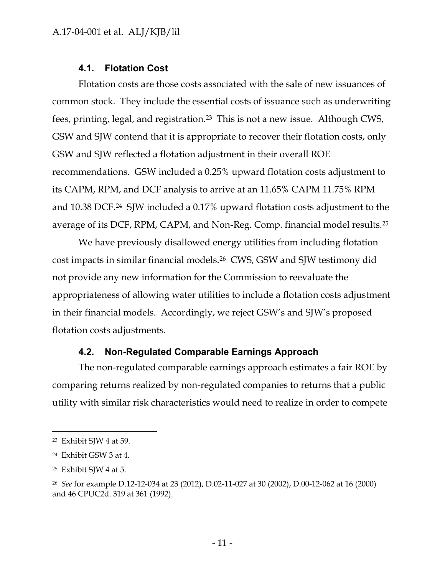### **4.1. Flotation Cost**

<span id="page-11-0"></span>Flotation costs are those costs associated with the sale of new issuances of common stock. They include the essential costs of issuance such as underwriting fees, printing, legal, and registration.<sup>23</sup> This is not a new issue. Although CWS, GSW and SJW contend that it is appropriate to recover their flotation costs, only GSW and SJW reflected a flotation adjustment in their overall ROE recommendations. GSW included a 0.25% upward flotation costs adjustment to its CAPM, RPM, and DCF analysis to arrive at an 11.65% CAPM 11.75% RPM and 10.38 DCF.24 SJW included a 0.17% upward flotation costs adjustment to the average of its DCF, RPM, CAPM, and Non-Reg. Comp. financial model results.<sup>25</sup>

We have previously disallowed energy utilities from including flotation cost impacts in similar financial models.26 CWS, GSW and SJW testimony did not provide any new information for the Commission to reevaluate the appropriateness of allowing water utilities to include a flotation costs adjustment in their financial models. Accordingly, we reject GSW's and SJW's proposed flotation costs adjustments.

### **4.2. Non-Regulated Comparable Earnings Approach**

<span id="page-11-1"></span>The non-regulated comparable earnings approach estimates a fair ROE by comparing returns realized by non-regulated companies to returns that a public utility with similar risk characteristics would need to realize in order to compete

<sup>23</sup> Exhibit SJW 4 at 59.

<sup>24</sup> Exhibit GSW 3 at 4.

<sup>25</sup> Exhibit SJW 4 at 5.

<sup>26</sup> *See* for example D.12-12-034 at 23 (2012), D.02-11-027 at 30 (2002), D.00-12-062 at 16 (2000) and 46 CPUC2d. 319 at 361 (1992).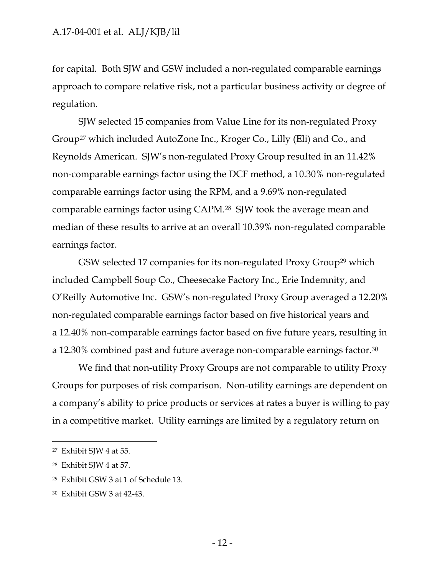for capital. Both SJW and GSW included a non-regulated comparable earnings approach to compare relative risk, not a particular business activity or degree of regulation.

SJW selected 15 companies from Value Line for its non-regulated Proxy Group<sup>27</sup> which included AutoZone Inc., Kroger Co., Lilly (Eli) and Co., and Reynolds American. SJW's non-regulated Proxy Group resulted in an 11.42% non-comparable earnings factor using the DCF method, a 10.30% non-regulated comparable earnings factor using the RPM, and a 9.69% non-regulated comparable earnings factor using CAPM.<sup>28</sup> SJW took the average mean and median of these results to arrive at an overall 10.39% non-regulated comparable earnings factor.

GSW selected 17 companies for its non-regulated Proxy Group<sup>29</sup> which included Campbell Soup Co., Cheesecake Factory Inc., Erie Indemnity, and O'Reilly Automotive Inc. GSW's non-regulated Proxy Group averaged a 12.20% non-regulated comparable earnings factor based on five historical years and a 12.40% non-comparable earnings factor based on five future years, resulting in a 12.30% combined past and future average non-comparable earnings factor.<sup>30</sup>

We find that non-utility Proxy Groups are not comparable to utility Proxy Groups for purposes of risk comparison. Non-utility earnings are dependent on a company's ability to price products or services at rates a buyer is willing to pay in a competitive market. Utility earnings are limited by a regulatory return on

<sup>27</sup> Exhibit SJW 4 at 55.

<sup>28</sup> Exhibit SJW 4 at 57.

<sup>29</sup> Exhibit GSW 3 at 1 of Schedule 13.

<sup>30</sup> Exhibit GSW 3 at 42-43.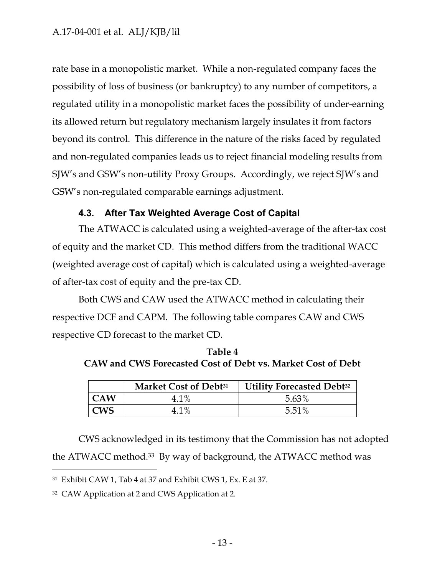rate base in a monopolistic market. While a non-regulated company faces the possibility of loss of business (or bankruptcy) to any number of competitors, a regulated utility in a monopolistic market faces the possibility of under-earning its allowed return but regulatory mechanism largely insulates it from factors beyond its control. This difference in the nature of the risks faced by regulated and non-regulated companies leads us to reject financial modeling results from SJW's and GSW's non-utility Proxy Groups. Accordingly, we reject SJW's and GSW's non-regulated comparable earnings adjustment.

## **4.3. After Tax Weighted Average Cost of Capital**

<span id="page-13-0"></span>The ATWACC is calculated using a weighted-average of the after-tax cost of equity and the market CD. This method differs from the traditional WACC (weighted average cost of capital) which is calculated using a weighted-average of after-tax cost of equity and the pre-tax CD.

Both CWS and CAW used the ATWACC method in calculating their respective DCF and CAPM. The following table compares CAW and CWS respective CD forecast to the market CD.

| Table 4                                                            |
|--------------------------------------------------------------------|
| <b>CAW and CWS Forecasted Cost of Debt vs. Market Cost of Debt</b> |

|            | Market Cost of Debt <sup>31</sup> | <b>Utility Forecasted Debt</b> <sup>32</sup> |
|------------|-----------------------------------|----------------------------------------------|
| <b>CAW</b> | 4.1%                              | 5.63%                                        |
| <b>CWS</b> | 4.1%                              | 5.51%                                        |

CWS acknowledged in its testimony that the Commission has not adopted the ATWACC method. <sup>33</sup> By way of background, the ATWACC method was

<sup>31</sup> Exhibit CAW 1, Tab 4 at 37 and Exhibit CWS 1, Ex. E at 37.

<sup>32</sup> CAW Application at 2 and CWS Application at 2.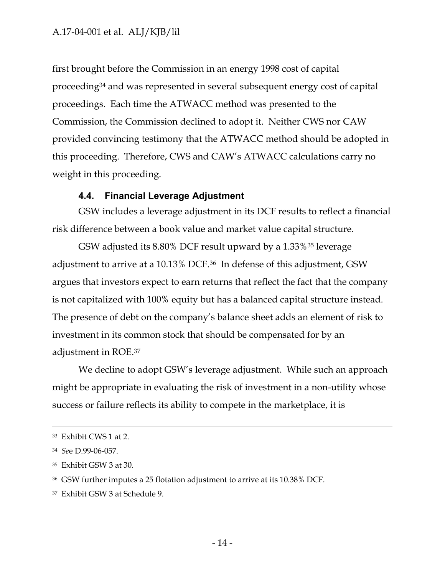first brought before the Commission in an energy 1998 cost of capital proceeding<sup>34</sup> and was represented in several subsequent energy cost of capital proceedings. Each time the ATWACC method was presented to the Commission, the Commission declined to adopt it. Neither CWS nor CAW provided convincing testimony that the ATWACC method should be adopted in this proceeding. Therefore, CWS and CAW's ATWACC calculations carry no weight in this proceeding.

#### **4.4. Financial Leverage Adjustment**

<span id="page-14-0"></span>GSW includes a leverage adjustment in its DCF results to reflect a financial risk difference between a book value and market value capital structure.

GSW adjusted its 8.80% DCF result upward by a 1.33%<sup>35</sup> leverage adjustment to arrive at a 10.13% DCF.<sup>36</sup> In defense of this adjustment, GSW argues that investors expect to earn returns that reflect the fact that the company is not capitalized with 100% equity but has a balanced capital structure instead. The presence of debt on the company's balance sheet adds an element of risk to investment in its common stock that should be compensated for by an adjustment in ROE.<sup>37</sup>

We decline to adopt GSW's leverage adjustment. While such an approach might be appropriate in evaluating the risk of investment in a non-utility whose success or failure reflects its ability to compete in the marketplace, it is

 $\overline{a}$ 

<sup>37</sup> Exhibit GSW 3 at Schedule 9.

<sup>33</sup> Exhibit CWS 1 at 2.

<sup>34</sup> *Se*e D.99-06-057.

<sup>35</sup> Exhibit GSW 3 at 30.

<sup>36</sup> GSW further imputes a 25 flotation adjustment to arrive at its 10.38% DCF.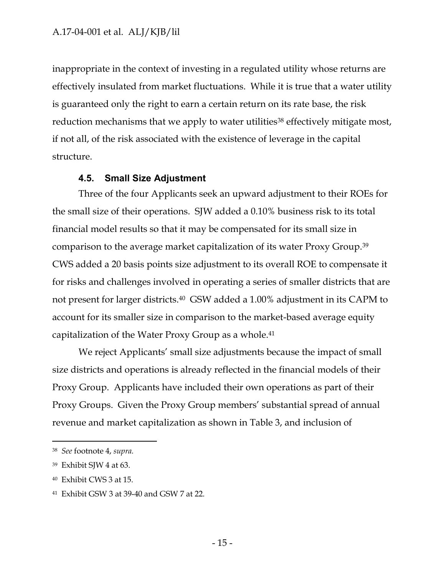inappropriate in the context of investing in a regulated utility whose returns are effectively insulated from market fluctuations. While it is true that a water utility is guaranteed only the right to earn a certain return on its rate base, the risk reduction mechanisms that we apply to water utilities<sup>38</sup> effectively mitigate most, if not all, of the risk associated with the existence of leverage in the capital structure.

#### **4.5. Small Size Adjustment**

<span id="page-15-0"></span>Three of the four Applicants seek an upward adjustment to their ROEs for the small size of their operations. SJW added a 0.10% business risk to its total financial model results so that it may be compensated for its small size in comparison to the average market capitalization of its water Proxy Group.<sup>39</sup> CWS added a 20 basis points size adjustment to its overall ROE to compensate it for risks and challenges involved in operating a series of smaller districts that are not present for larger districts.<sup>40</sup> GSW added a 1.00% adjustment in its CAPM to account for its smaller size in comparison to the market-based average equity capitalization of the Water Proxy Group as a whole.<sup>41</sup>

We reject Applicants' small size adjustments because the impact of small size districts and operations is already reflected in the financial models of their Proxy Group. Applicants have included their own operations as part of their Proxy Groups. Given the Proxy Group members' substantial spread of annual revenue and market capitalization as shown in Table 3, and inclusion of

<sup>38</sup> *See* footnote 4, *supra.*

<sup>39</sup> Exhibit SJW 4 at 63.

<sup>40</sup> Exhibit CWS 3 at 15.

<sup>41</sup> Exhibit GSW 3 at 39-40 and GSW 7 at 22.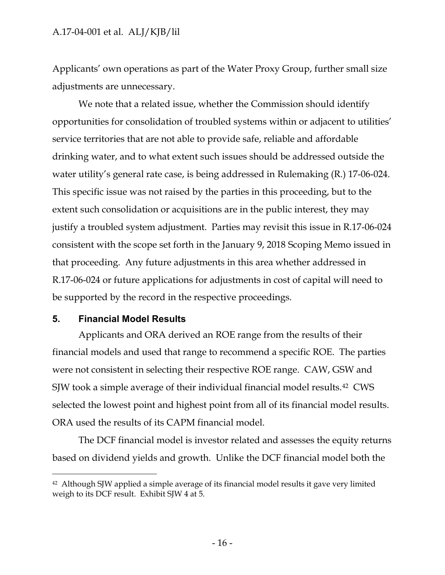Applicants' own operations as part of the Water Proxy Group, further small size adjustments are unnecessary.

We note that a related issue, whether the Commission should identify opportunities for consolidation of troubled systems within or adjacent to utilities' service territories that are not able to provide safe, reliable and affordable drinking water, and to what extent such issues should be addressed outside the water utility's general rate case, is being addressed in Rulemaking (R.) 17-06-024. This specific issue was not raised by the parties in this proceeding, but to the extent such consolidation or acquisitions are in the public interest, they may justify a troubled system adjustment. Parties may revisit this issue in R.17-06-024 consistent with the scope set forth in the January 9, 2018 Scoping Memo issued in that proceeding. Any future adjustments in this area whether addressed in R.17-06-024 or future applications for adjustments in cost of capital will need to be supported by the record in the respective proceedings.

#### <span id="page-16-0"></span>**5. Financial Model Results**

 $\overline{a}$ 

Applicants and ORA derived an ROE range from the results of their financial models and used that range to recommend a specific ROE. The parties were not consistent in selecting their respective ROE range. CAW, GSW and SJW took a simple average of their individual financial model results.<sup>42</sup> CWS selected the lowest point and highest point from all of its financial model results. ORA used the results of its CAPM financial model.

The DCF financial model is investor related and assesses the equity returns based on dividend yields and growth. Unlike the DCF financial model both the

<sup>42</sup> Although SJW applied a simple average of its financial model results it gave very limited weigh to its DCF result. Exhibit SJW 4 at 5.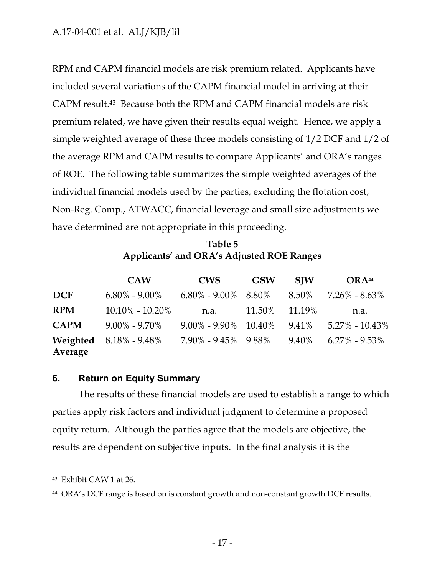RPM and CAPM financial models are risk premium related. Applicants have included several variations of the CAPM financial model in arriving at their CAPM result.43 Because both the RPM and CAPM financial models are risk premium related, we have given their results equal weight. Hence, we apply a simple weighted average of these three models consisting of 1/2 DCF and 1/2 of the average RPM and CAPM results to compare Applicants' and ORA's ranges of ROE. The following table summarizes the simple weighted averages of the individual financial models used by the parties, excluding the flotation cost, Non-Reg. Comp., ATWACC, financial leverage and small size adjustments we have determined are not appropriate in this proceeding.

**Table 5 Applicants' and ORA's Adjusted ROE Ranges** 

|             | <b>CAW</b>          | <b>CWS</b>          | <b>GSW</b> | <b>SIW</b> | ORA <sup>44</sup>  |
|-------------|---------------------|---------------------|------------|------------|--------------------|
| <b>DCF</b>  | $6.80\% - 9.00\%$   | $6.80\%$ - $9.00\%$ | 8.80%      | 8.50%      | $7.26\% - 8.63\%$  |
| <b>RPM</b>  | $10.10\% - 10.20\%$ | n.a.                | 11.50%     | 11.19%     | n.a.               |
| <b>CAPM</b> | $9.00\% - 9.70\%$   | $9.00\% - 9.90\%$   | 10.40%     | 9.41%      | $5.27\% - 10.43\%$ |
| Weighted    | $8.18\% - 9.48\%$   | $7.90\% - 9.45\%$   | 9.88%      | 9.40%      | $6.27\% - 9.53\%$  |
| Average     |                     |                     |            |            |                    |

### <span id="page-17-0"></span>**6. Return on Equity Summary**

The results of these financial models are used to establish a range to which parties apply risk factors and individual judgment to determine a proposed equity return. Although the parties agree that the models are objective, the results are dependent on subjective inputs. In the final analysis it is the

<sup>43</sup> Exhibit CAW 1 at 26.

<sup>44</sup> ORA's DCF range is based on is constant growth and non-constant growth DCF results.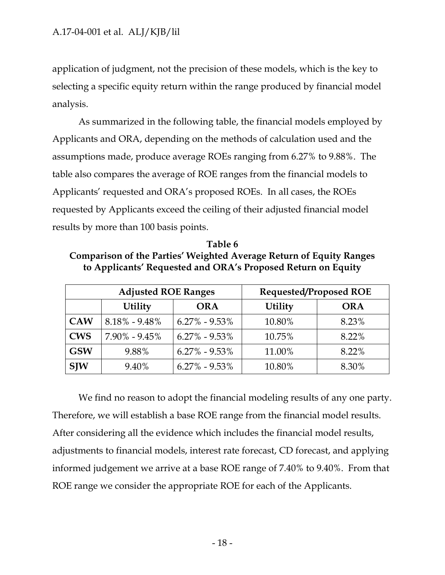application of judgment, not the precision of these models, which is the key to selecting a specific equity return within the range produced by financial model analysis.

As summarized in the following table, the financial models employed by Applicants and ORA, depending on the methods of calculation used and the assumptions made, produce average ROEs ranging from 6.27% to 9.88%. The table also compares the average of ROE ranges from the financial models to Applicants' requested and ORA's proposed ROEs. In all cases, the ROEs requested by Applicants exceed the ceiling of their adjusted financial model results by more than 100 basis points.

**Table 6 Comparison of the Parties' Weighted Average Return of Equity Ranges to Applicants' Requested and ORA's Proposed Return on Equity**

|            | <b>Adjusted ROE Ranges</b> |                   | <b>Requested/Proposed ROE</b> |            |  |
|------------|----------------------------|-------------------|-------------------------------|------------|--|
|            | <b>Utility</b>             | <b>ORA</b>        | <b>Utility</b>                | <b>ORA</b> |  |
| <b>CAW</b> | $8.18\% - 9.48\%$          | $6.27\% - 9.53\%$ | 10.80%                        | 8.23%      |  |
| <b>CWS</b> | $7.90\% - 9.45\%$          | $6.27\% - 9.53\%$ | 10.75%                        | 8.22%      |  |
| <b>GSW</b> | 9.88%                      | $6.27\% - 9.53\%$ | 11.00%                        | 8.22%      |  |
| <b>SJW</b> | 9.40%                      | $6.27\% - 9.53\%$ | 10.80%                        | 8.30%      |  |

We find no reason to adopt the financial modeling results of any one party. Therefore, we will establish a base ROE range from the financial model results. After considering all the evidence which includes the financial model results, adjustments to financial models, interest rate forecast, CD forecast, and applying informed judgement we arrive at a base ROE range of 7.40% to 9.40%. From that ROE range we consider the appropriate ROE for each of the Applicants.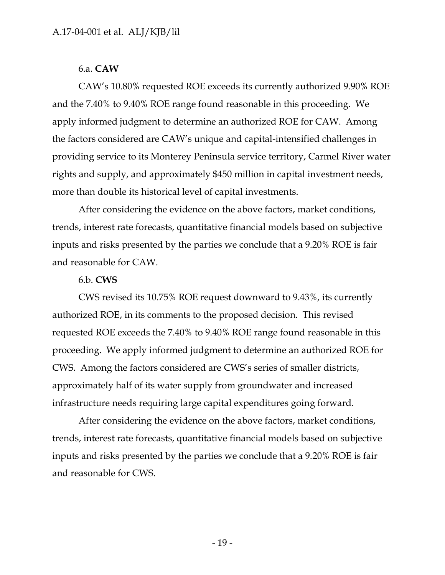### 6.a. **CAW**

CAW's 10.80% requested ROE exceeds its currently authorized 9.90% ROE and the 7.40% to 9.40% ROE range found reasonable in this proceeding. We apply informed judgment to determine an authorized ROE for CAW. Among the factors considered are CAW's unique and capital-intensified challenges in providing service to its Monterey Peninsula service territory, Carmel River water rights and supply, and approximately \$450 million in capital investment needs, more than double its historical level of capital investments.

After considering the evidence on the above factors, market conditions, trends, interest rate forecasts, quantitative financial models based on subjective inputs and risks presented by the parties we conclude that a 9.20% ROE is fair and reasonable for CAW.

#### 6.b. **CWS**

CWS revised its 10.75% ROE request downward to 9.43%, its currently authorized ROE, in its comments to the proposed decision. This revised requested ROE exceeds the 7.40% to 9.40% ROE range found reasonable in this proceeding. We apply informed judgment to determine an authorized ROE for CWS. Among the factors considered are CWS's series of smaller districts, approximately half of its water supply from groundwater and increased infrastructure needs requiring large capital expenditures going forward.

After considering the evidence on the above factors, market conditions, trends, interest rate forecasts, quantitative financial models based on subjective inputs and risks presented by the parties we conclude that a 9.20% ROE is fair and reasonable for CWS.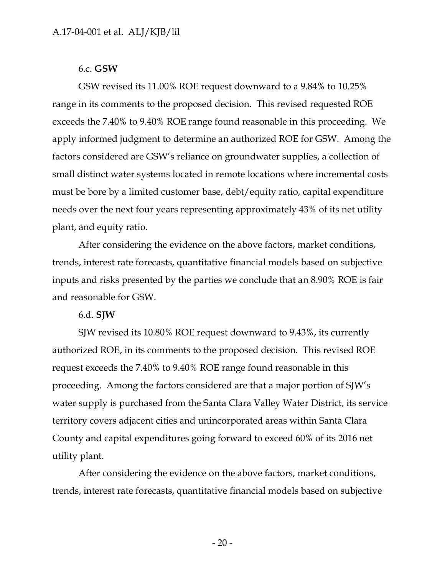#### 6.c. **GSW**

GSW revised its 11.00% ROE request downward to a 9.84% to 10.25% range in its comments to the proposed decision. This revised requested ROE exceeds the 7.40% to 9.40% ROE range found reasonable in this proceeding. We apply informed judgment to determine an authorized ROE for GSW. Among the factors considered are GSW's reliance on groundwater supplies, a collection of small distinct water systems located in remote locations where incremental costs must be bore by a limited customer base, debt/equity ratio, capital expenditure needs over the next four years representing approximately 43% of its net utility plant, and equity ratio.

After considering the evidence on the above factors, market conditions, trends, interest rate forecasts, quantitative financial models based on subjective inputs and risks presented by the parties we conclude that an 8.90% ROE is fair and reasonable for GSW.

#### 6.d. **SJW**

SJW revised its 10.80% ROE request downward to 9.43%, its currently authorized ROE, in its comments to the proposed decision. This revised ROE request exceeds the 7.40% to 9.40% ROE range found reasonable in this proceeding. Among the factors considered are that a major portion of SJW's water supply is purchased from the Santa Clara Valley Water District, its service territory covers adjacent cities and unincorporated areas within Santa Clara County and capital expenditures going forward to exceed 60% of its 2016 net utility plant.

After considering the evidence on the above factors, market conditions, trends, interest rate forecasts, quantitative financial models based on subjective

- 20 -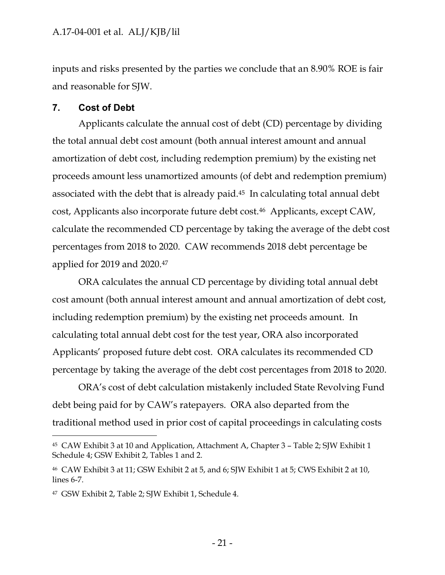inputs and risks presented by the parties we conclude that an 8.90% ROE is fair and reasonable for SJW.

### <span id="page-21-0"></span>**7. Cost of Debt**

Applicants calculate the annual cost of debt (CD) percentage by dividing the total annual debt cost amount (both annual interest amount and annual amortization of debt cost, including redemption premium) by the existing net proceeds amount less unamortized amounts (of debt and redemption premium) associated with the debt that is already paid.<sup>45</sup> In calculating total annual debt cost, Applicants also incorporate future debt cost.<sup>46</sup> Applicants, except CAW, calculate the recommended CD percentage by taking the average of the debt cost percentages from 2018 to 2020. CAW recommends 2018 debt percentage be applied for 2019 and 2020.<sup>47</sup>

ORA calculates the annual CD percentage by dividing total annual debt cost amount (both annual interest amount and annual amortization of debt cost, including redemption premium) by the existing net proceeds amount. In calculating total annual debt cost for the test year, ORA also incorporated Applicants' proposed future debt cost. ORA calculates its recommended CD percentage by taking the average of the debt cost percentages from 2018 to 2020.

ORA's cost of debt calculation mistakenly included State Revolving Fund debt being paid for by CAW's ratepayers. ORA also departed from the traditional method used in prior cost of capital proceedings in calculating costs

<sup>45</sup> CAW Exhibit 3 at 10 and Application, Attachment A, Chapter 3 – Table 2; SJW Exhibit 1 Schedule 4; GSW Exhibit 2, Tables 1 and 2.

<sup>46</sup> CAW Exhibit 3 at 11; GSW Exhibit 2 at 5, and 6; SJW Exhibit 1 at 5; CWS Exhibit 2 at 10, lines 6-7.

<sup>47</sup> GSW Exhibit 2, Table 2; SJW Exhibit 1, Schedule 4.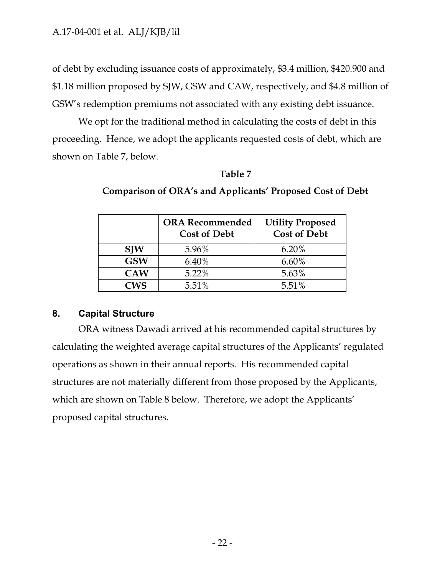of debt by excluding issuance costs of approximately, \$3.4 million, \$420.900 and \$1.18 million proposed by SJW, GSW and CAW, respectively, and \$4.8 million of GSW's redemption premiums not associated with any existing debt issuance.

We opt for the traditional method in calculating the costs of debt in this proceeding. Hence, we adopt the applicants requested costs of debt, which are shown on Table 7, below.

### **Table 7**

|            | <b>ORA Recommended</b><br><b>Cost of Debt</b> | <b>Utility Proposed</b><br><b>Cost of Debt</b> |
|------------|-----------------------------------------------|------------------------------------------------|
| <b>SJW</b> | 5.96%                                         | 6.20%                                          |
| <b>GSW</b> | 6.40%                                         | $6.60\%$                                       |
| <b>CAW</b> | 5.22%                                         | 5.63%                                          |
| CWS        | 5.51%                                         | 5.51%                                          |

**Comparison of ORA's and Applicants' Proposed Cost of Debt**

### <span id="page-22-0"></span>**8. Capital Structure**

ORA witness Dawadi arrived at his recommended capital structures by calculating the weighted average capital structures of the Applicants' regulated operations as shown in their annual reports. His recommended capital structures are not materially different from those proposed by the Applicants, which are shown on Table 8 below. Therefore, we adopt the Applicants' proposed capital structures.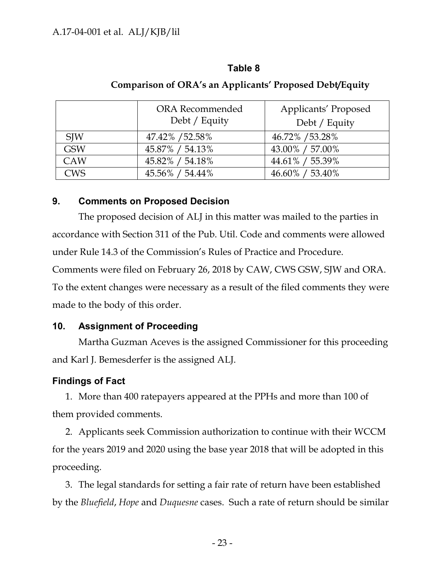### **Table 8**

|            | <b>ORA</b> Recommended<br>Debt / Equity | Applicants' Proposed<br>Debt / Equity |
|------------|-----------------------------------------|---------------------------------------|
| <b>SJW</b> | 47.42% / 52.58%                         | 46.72% / 53.28%                       |
| <b>GSW</b> | 45.87% / 54.13%                         | 43.00% / 57.00%                       |
| <b>CAW</b> | 45.82% / 54.18%                         | 44.61% / 55.39%                       |
| <b>CWS</b> | 45.56% / 54.44%                         | 46.60% / 53.40%                       |

### **Comparison of ORA's an Applicants' Proposed Debt/Equity**

### <span id="page-23-0"></span>**9. Comments on Proposed Decision**

The proposed decision of ALJ in this matter was mailed to the parties in accordance with Section 311 of the Pub. Util. Code and comments were allowed under Rule 14.3 of the Commission's Rules of Practice and Procedure. Comments were filed on February 26, 2018 by CAW, CWS GSW, SJW and ORA. To the extent changes were necessary as a result of the filed comments they were made to the body of this order.

### <span id="page-23-1"></span>**10. Assignment of Proceeding**

Martha Guzman Aceves is the assigned Commissioner for this proceeding and Karl J. Bemesderfer is the assigned ALJ.

## <span id="page-23-2"></span>**Findings of Fact**

1. More than 400 ratepayers appeared at the PPHs and more than 100 of them provided comments.

2. Applicants seek Commission authorization to continue with their WCCM for the years 2019 and 2020 using the base year 2018 that will be adopted in this proceeding.

3. The legal standards for setting a fair rate of return have been established by the *Bluefield*, *Hope* and *Duquesne* cases. Such a rate of return should be similar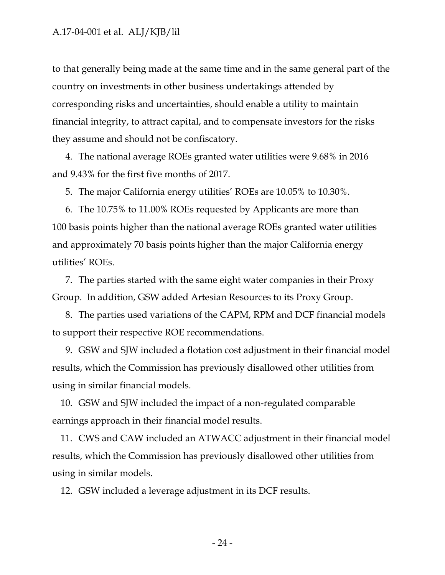to that generally being made at the same time and in the same general part of the country on investments in other business undertakings attended by corresponding risks and uncertainties, should enable a utility to maintain financial integrity, to attract capital, and to compensate investors for the risks they assume and should not be confiscatory.

4. The national average ROEs granted water utilities were 9.68% in 2016 and 9.43% for the first five months of 2017.

5. The major California energy utilities' ROEs are 10.05% to 10.30%.

6. The 10.75% to 11.00% ROEs requested by Applicants are more than 100 basis points higher than the national average ROEs granted water utilities and approximately 70 basis points higher than the major California energy utilities' ROEs.

7. The parties started with the same eight water companies in their Proxy Group. In addition, GSW added Artesian Resources to its Proxy Group.

8. The parties used variations of the CAPM, RPM and DCF financial models to support their respective ROE recommendations.

9. GSW and SJW included a flotation cost adjustment in their financial model results, which the Commission has previously disallowed other utilities from using in similar financial models.

10. GSW and SJW included the impact of a non-regulated comparable earnings approach in their financial model results.

11. CWS and CAW included an ATWACC adjustment in their financial model results, which the Commission has previously disallowed other utilities from using in similar models.

12. GSW included a leverage adjustment in its DCF results.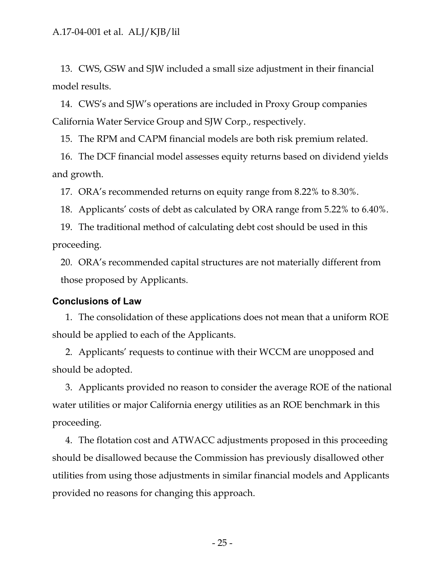13. CWS, GSW and SJW included a small size adjustment in their financial model results.

14. CWS's and SJW's operations are included in Proxy Group companies California Water Service Group and SJW Corp., respectively.

15. The RPM and CAPM financial models are both risk premium related.

16. The DCF financial model assesses equity returns based on dividend yields and growth.

17. ORA's recommended returns on equity range from 8.22% to 8.30%.

18. Applicants' costs of debt as calculated by ORA range from 5.22% to 6.40%.

19. The traditional method of calculating debt cost should be used in this proceeding.

20. ORA's recommended capital structures are not materially different from those proposed by Applicants.

#### <span id="page-25-0"></span>**Conclusions of Law**

1. The consolidation of these applications does not mean that a uniform ROE should be applied to each of the Applicants.

2. Applicants' requests to continue with their WCCM are unopposed and should be adopted.

3. Applicants provided no reason to consider the average ROE of the national water utilities or major California energy utilities as an ROE benchmark in this proceeding.

4. The flotation cost and ATWACC adjustments proposed in this proceeding should be disallowed because the Commission has previously disallowed other utilities from using those adjustments in similar financial models and Applicants provided no reasons for changing this approach.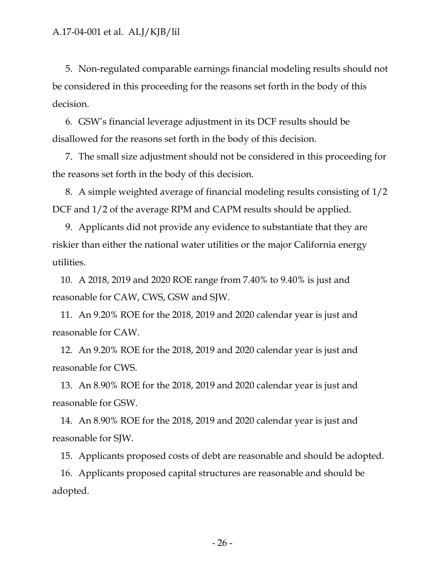5. Non-regulated comparable earnings financial modeling results should not be considered in this proceeding for the reasons set forth in the body of this decision.

6. GSW's financial leverage adjustment in its DCF results should be disallowed for the reasons set forth in the body of this decision.

7. The small size adjustment should not be considered in this proceeding for the reasons set forth in the body of this decision.

8. A simple weighted average of financial modeling results consisting of 1/2 DCF and 1/2 of the average RPM and CAPM results should be applied.

9. Applicants did not provide any evidence to substantiate that they are riskier than either the national water utilities or the major California energy utilities.

10. A 2018, 2019 and 2020 ROE range from 7.40% to 9.40% is just and reasonable for CAW, CWS, GSW and SJW.

11. An 9.20% ROE for the 2018, 2019 and 2020 calendar year is just and reasonable for CAW.

12. An 9.20% ROE for the 2018, 2019 and 2020 calendar year is just and reasonable for CWS.

13. An 8.90% ROE for the 2018, 2019 and 2020 calendar year is just and reasonable for GSW.

14. An 8.90% ROE for the 2018, 2019 and 2020 calendar year is just and reasonable for SJW.

15. Applicants proposed costs of debt are reasonable and should be adopted.

16. Applicants proposed capital structures are reasonable and should be adopted.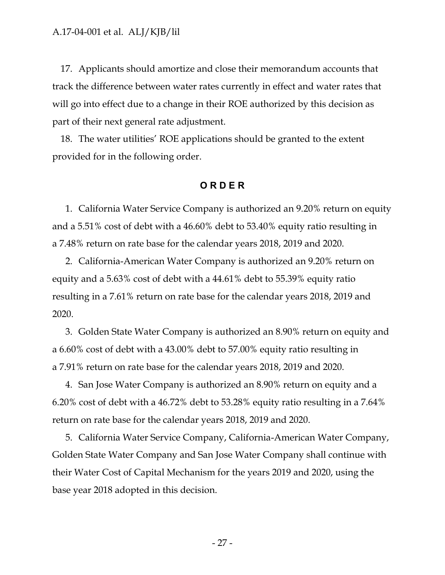17. Applicants should amortize and close their memorandum accounts that track the difference between water rates currently in effect and water rates that will go into effect due to a change in their ROE authorized by this decision as part of their next general rate adjustment.

18. The water utilities' ROE applications should be granted to the extent provided for in the following order.

#### **O R D E R**

<span id="page-27-0"></span>1. California Water Service Company is authorized an 9.20% return on equity and a 5.51% cost of debt with a 46.60% debt to 53.40% equity ratio resulting in a 7.48% return on rate base for the calendar years 2018, 2019 and 2020.

2. California-American Water Company is authorized an 9.20% return on equity and a 5.63% cost of debt with a 44.61% debt to 55.39% equity ratio resulting in a 7.61% return on rate base for the calendar years 2018, 2019 and 2020.

3. Golden State Water Company is authorized an 8.90% return on equity and a 6.60% cost of debt with a 43.00% debt to 57.00% equity ratio resulting in a 7.91% return on rate base for the calendar years 2018, 2019 and 2020.

4. San Jose Water Company is authorized an 8.90% return on equity and a 6.20% cost of debt with a 46.72% debt to 53.28% equity ratio resulting in a 7.64% return on rate base for the calendar years 2018, 2019 and 2020.

5. California Water Service Company, California-American Water Company, Golden State Water Company and San Jose Water Company shall continue with their Water Cost of Capital Mechanism for the years 2019 and 2020, using the base year 2018 adopted in this decision.